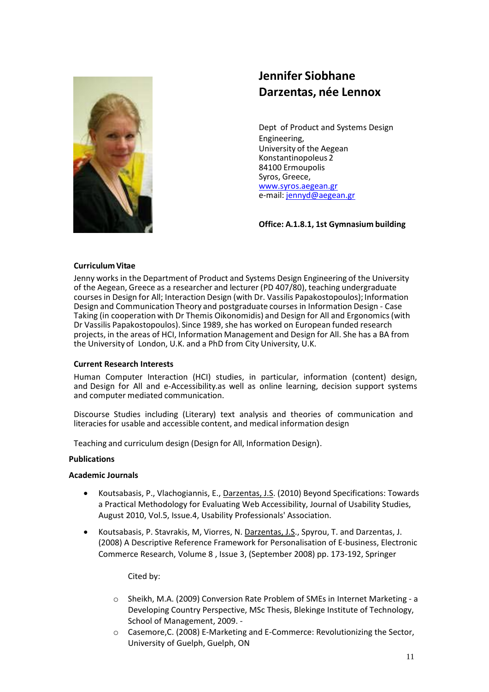

# **Jennifer Siobhane Darzentas, née Lennox**

Dept of Product and Systems Design Engineering, University of the Aegean Konstantinopoleus 2 84100 Ermoupolis Syros, Greece, [www.syros.aegean.gr](http://www.aegean.gr/) e-mail: [jennyd@aegean.gr](mailto:jennyd@aegean.gr)

**Office: A.1.8.1, 1st Gymnasium building**

# **Curriculum Vitae**

Jenny works in the Department of Product and Systems Design Engineering of the University of the Aegean, Greece as a researcher and lecturer (PD 407/80), teaching undergraduate courses in Design for All; Interaction Design (with Dr. Vassilis Papakostopoulos); Information Design and Communication Theory and postgraduate courses in Information Design - Case Taking (in cooperation with Dr Themis Oikonomidis) and Design for All and Ergonomics(with Dr Vassilis Papakostopoulos). Since 1989, she has worked on European funded research projects, in the areas of HCI, Information Management and Design for All. She has a BA from the University of London, U.K. and a PhD from City University, U.K.

## **Current Research Interests**

Human Computer Interaction (HCI) studies, in particular, information (content) design, and Design for All and e-Accessibility.as well as online learning, decision support systems and computer mediated communication.

Discourse Studies including (Literary) text analysis and theories of communication and literacies for usable and accessible content, and medical information design

Teaching and curriculum design (Design for All, Information Design).

## **Publications**

## **Academic Journals**

- Koutsabasis, P., Vlachogiannis, E., Darzentas, J.S. (2010) Beyond Specifications: Towards a Practical Methodology for Evaluating Web Accessibility, Journal of Usability Studies, August 2010, Vol.5, Issue.4, Usability Professionals' Association.
- Koutsabasis, P. Stavrakis, M, Viorres, N. Darzentas, J.S., Spyrou, T. and Darzentas, J. (2008) A Descriptive Reference Framework for Personalisation of E-business, Electronic Commerce Research, Volume 8 , Issue 3, (September 2008) pp. 173-192, Springer

Cited by:

- o Sheikh, M.A. (2009) Conversion Rate Problem of SMEs in Internet Marketing ‐ a Developing Country Perspective, MSc Thesis, Blekinge Institute of Technology, School of Management, 2009. ‐
- o Casemore,C. (2008) E‐Marketing and E‐Commerce: Revolutionizing the Sector, University of Guelph, Guelph, ON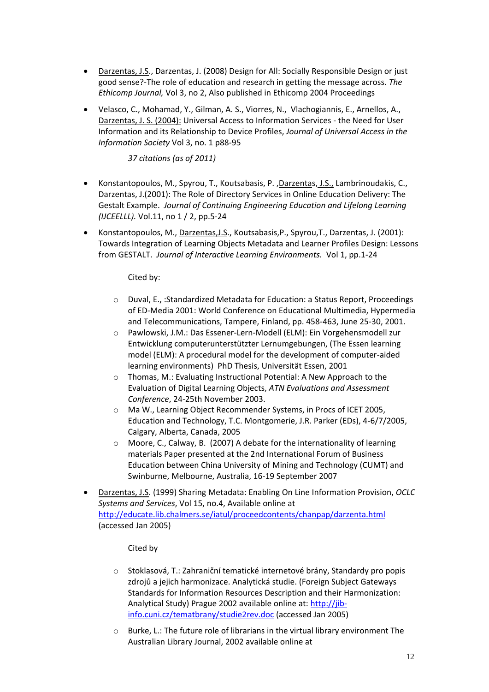- Darzentas, J.S., Darzentas, J. (2008) Design for All: Socially Responsible Design or just good sense?-The role of education and research in getting the message across. *The Ethicomp Journal,* Vol 3, no 2, Also published in Ethicomp 2004 Proceedings
- Velasco, C., Mohamad, Y., Gilman, A. S., Viorres, N., Vlachogiannis, E., Arnellos, A., Darzentas, J. S. (2004): Universal Access to Information Services - the Need for User Information and its Relationship to Device Profiles, *Journal of Universal Access in the Information Society* Vol 3, no. 1 p88-95

*37 citations (as of 2011)*

- Konstantopoulos, M., Spyrou, T., Koutsabasis, P. ,Darzentas, J.S., Lambrinoudakis, C., Darzentas, J.(2001): The Role of Directory Services in Online Education Delivery: The Gestalt Example. *Journal of Continuing Engineering Education and Lifelong Learning (IJCEELLL).* Vol.11, no 1 / 2, pp.5-24
- Konstantopoulos, M., Darzentas,J.S., Koutsabasis,P., Spyrou,T., Darzentas, J. (2001): Towards Integration of Learning Objects Metadata and Learner Profiles Design: Lessons from GESTALT. *Journal of Interactive Learning Environments.* Vol 1, pp.1-24

Cited by:

- o Duval, E., :Standardized Metadata for Education: a Status Report, Proceedings of ED-Media 2001: World Conference on Educational Multimedia, Hypermedia and Telecommunications, Tampere, Finland, pp. 458-463, June 25-30, 2001.
- o Pawlowski, J.M.: Das Essener-Lern-Modell (ELM): Ein Vorgehensmodell zur Entwicklung computerunterstützter Lernumgebungen, (The Essen learning model (ELM): A procedural model for the development of computer-aided learning environments) PhD Thesis, Universität Essen, 2001
- o Thomas, M.: Evaluating Instructional Potential: A New Approach to the Evaluation of Digital Learning Objects, *ATN Evaluations and Assessment Conference*, 24-25th November 2003.
- o Ma W., Learning Object Recommender Systems, in Procs of ICET 2005, Education and Technology, T.C. Montgomerie, J.R. Parker (EDs), 4-6/7/2005, Calgary, Alberta, Canada, 2005
- o Moore, C., Calway, B. (2007) A debate for the internationality of learning materials Paper presented at the 2nd International Forum of Business Education between China University of Mining and Technology (CUMT) and Swinburne, Melbourne, Australia, 16-19 September 2007
- Darzentas, J.S. (1999) Sharing Metadata: Enabling On Line Information Provision, *OCLC Systems and Services*, Vol 15, no.4, Available online at <http://educate.lib.chalmers.se/iatul/proceedcontents/chanpap/darzenta.html> (accessed Jan 2005)

Cited by

- o Stoklasová, T.: Zahraniční tematické internetové brány, Standardy pro popis zdrojů a jejich harmonizace. Analytická studie. (Foreign Subject Gateways Standards for Information Resources Description and their Harmonization: Analytical Study) Prague 2002 available online at: [http://jib](http://jib-info.cuni.cz/tematbrany/studie2rev.doc)[info.cuni.cz/tematbrany/studie2rev.doc](http://jib-info.cuni.cz/tematbrany/studie2rev.doc) (accessed Jan 2005)
- o Burke, L.: The future role of librarians in the virtual library environment The Australian Library Journal, 2002 available online at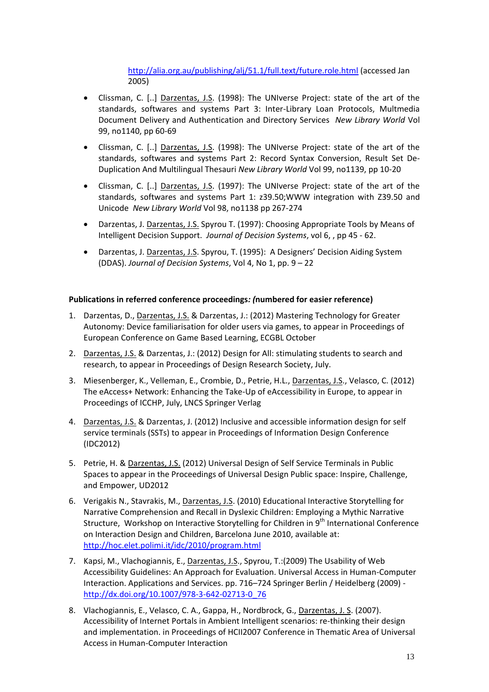<http://alia.org.au/publishing/alj/51.1/full.text/future.role.html> (accessed Jan 2005)

- Clissman, C. [..] Darzentas, J.S. (1998): The UNIverse Project: state of the art of the standards, softwares and systems Part 3: Inter-Library Loan Protocols, Multmedia Document Delivery and Authentication and Directory Services *New Library World* Vol 99, no1140, pp 60-69
- Clissman, C. [..] Darzentas, J.S. (1998): The UNIverse Project: state of the art of the standards, softwares and systems Part 2: Record Syntax Conversion, Result Set De-Duplication And Multilingual Thesauri *New Library World* Vol 99, no1139, pp 10-20
- Clissman, C. [..] Darzentas, J.S. (1997): The UNIverse Project: state of the art of the standards, softwares and systems Part 1: z39.50;WWW integration with Z39.50 and Unicode *New Library World* Vol 98, no1138 pp 267-274
- Darzentas, J. Darzentas, J.S. Spyrou T. (1997): Choosing Appropriate Tools by Means of Intelligent Decision Support. *Journal of Decision Systems*, vol 6, , pp 45 - 62.
- Darzentas, J. Darzentas, J.S. Spyrou, T. (1995): A Designers' Decision Aiding System (DDAS). *Journal of Decision Systems*, Vol 4, No 1, pp. 9 – 22

## **Publications in referred conference proceedings***: (***numbered for easier reference)**

- 1. Darzentas, D., Darzentas, J.S. & Darzentas, J.: (2012) Mastering Technology for Greater Autonomy: Device familiarisation for older users via games, to appear in Proceedings of European Conference on Game Based Learning, ECGBL October
- 2. Darzentas, J.S. & Darzentas, J.: (2012) Design for All: stimulating students to search and research, to appear in Proceedings of Design Research Society, July.
- 3. Miesenberger, K., Velleman, E., Crombie, D., Petrie, H.L., Darzentas, J.S., Velasco, C. (2012) The eAccess+ Network: Enhancing the Take-Up of eAccessibility in Europe, to appear in Proceedings of ICCHP, July, LNCS Springer Verlag
- 4. Darzentas, J.S. & Darzentas, J. (2012) Inclusive and accessible information design for self service terminals (SSTs) to appear in Proceedings of Information Design Conference (IDC2012)
- 5. Petrie, H. & Darzentas, J.S. (2012) Universal Design of Self Service Terminals in Public Spaces to appear in the Proceedings of Universal Design Public space: Inspire, Challenge, and Empower, UD2012
- 6. Verigakis N., Stavrakis, M., Darzentas, J.S. (2010) Educational Interactive Storytelling for Narrative Comprehension and Recall in Dyslexic Children: Employing a Mythic Narrative Structure, Workshop on Interactive Storytelling for Children in 9<sup>th</sup> International Conference on Interaction Design and Children, Barcelona June 2010, available at: <http://hoc.elet.polimi.it/idc/2010/program.html>
- 7. Kapsi, M., Vlachogiannis, E., Darzentas, J.S., Spyrou, T.:(2009) The Usability of Web Accessibility Guidelines: An Approach for Evaluation. Universal Access in Human-Computer Interaction. Applications and Services. pp. 716–724 Springer Berlin / Heidelberg (2009) [http://dx.doi.org/10.1007/978-3-642-02713-0\\_76](http://dx.doi.org/10.1007/978-3-642-02713-0_76)
- 8. Vlachogiannis, E., Velasco, C. A., Gappa, H., Nordbrock, G., Darzentas, J. S. (2007). Accessibility of Internet Portals in Ambient Intelligent scenarios: re-thinking their design and implementation. in Proceedings of HCII2007 Conference in Thematic Area of Universal Access in Human-Computer Interaction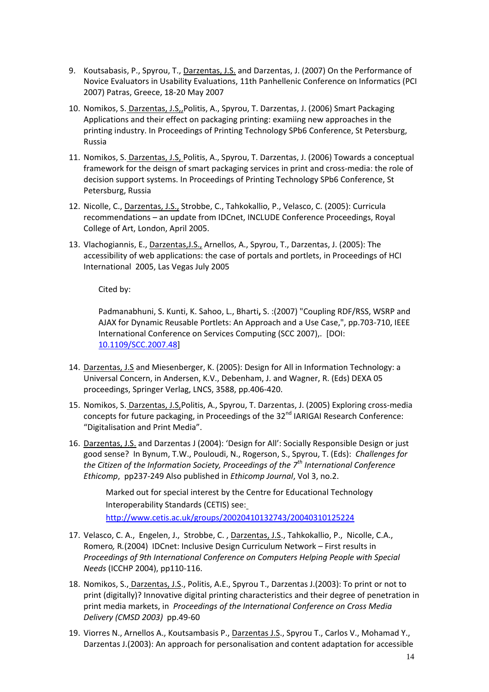- 9. Koutsabasis, P., Spyrou, T., Darzentas, J.S. and Darzentas, J. (2007) On the Performance of Novice Evaluators in Usability Evaluations, 11th Panhellenic Conference on Informatics (PCI 2007) Patras, Greece, 18-20 May 2007
- 10. Nomikos, S. Darzentas, J.S,,Politis, A., Spyrou, T. Darzentas, J. (2006) Smart Packaging Applications and their effect on packaging printing: examiing new approaches in the printing industry. In Proceedings of Printing Technology SPb6 Conference, St Petersburg, Russia
- 11. Nomikos, S. Darzentas, J.S, Politis, A., Spyrou, T. Darzentas, J. (2006) Towards a conceptual framework for the deisgn of smart packaging services in print and cross-media: the role of decision support systems. In Proceedings of Printing Technology SPb6 Conference, St Petersburg, Russia
- 12. Nicolle, C., Darzentas, J.S., Strobbe, C., Tahkokallio, P., Velasco, C. (2005): Curricula recommendations – an update from IDCnet, INCLUDE Conference Proceedings, Royal College of Art, London, April 2005.
- 13. Vlachogiannis, E., Darzentas, J.S., Arnellos, A., Spyrou, T., Darzentas, J. (2005): The accessibility of web applications: the case of portals and portlets, in Proceedings of HCI International 2005, Las Vegas July 2005

Cited by:

Padmanabhuni, S. Kunti, K. Sahoo, L., Bharti**,** S. :(2007) "Coupling RDF/RSS, WSRP and AJAX for Dynamic Reusable Portlets: An Approach and a Use Case,", pp.703-710, IEEE International Conference on Services Computing (SCC 2007),. [DOI: [10.1109/SCC.2007.48\]](http://doi.ieeecomputersociety.org/10.1109/SCC.2007.48)

- 14. Darzentas, J.S and Miesenberger, K. (2005): Design for All in Information Technology: a Universal Concern, in Andersen, K.V., Debenham, J. and Wagner, R. (Eds) DEXA 05 proceedings, Springer Verlag, LNCS, 3588, pp.406-420.
- 15. Nomikos, S. Darzentas, J.S,Politis, A., Spyrou, T. Darzentas, J. (2005) Exploring cross-media concepts for future packaging, in Proceedings of the 32<sup>nd</sup> IARIGAI Research Conference: "Digitalisation and Print Media".
- 16. Darzentas, J.S. and Darzentas J (2004): 'Design for All': Socially Responsible Design or just good sense?In Bynum, T.W., Pouloudi, N., Rogerson, S., Spyrou, T. (Eds): *Challenges for the Citizen of the Information Society, Proceedings of the 7th International Conference Ethicomp*, pp237-249 Also published in *Ethicomp Journal*, Vol 3, no.2.

Marked out for special interest by the Centre for Educational Technology Interoperability Standards (CETIS) see: <http://www.cetis.ac.uk/groups/20020410132743/20040310125224>

- 17. Velasco, C. A., Engelen, J., Strobbe, C., Darzentas, J.S., Tahkokallio, P., Nicolle, C.A., Romero*,* R*.*(2004) IDCnet: Inclusive Design Curriculum Network – First results in *Proceedings of 9th International Conference on Computers Helping People with Special Needs* (ICCHP 2004), pp110-116.
- 18. Nomikos, S., Darzentas, J.S., Politis, A.E., Spyrou T., Darzentas J.(2003): To print or not to print (digitally)? Innovative digital printing characteristics and their degree of penetration in print media markets, in *Proceedings of the International Conference on Cross Media Delivery (CMSD 2003)* pp.49-60
- 19. Viorres N., Arnellos A., Koutsambasis P., Darzentas J.S., Spyrou T., Carlos V., Mohamad Y., Darzentas J.(2003): An approach for personalisation and content adaptation for accessible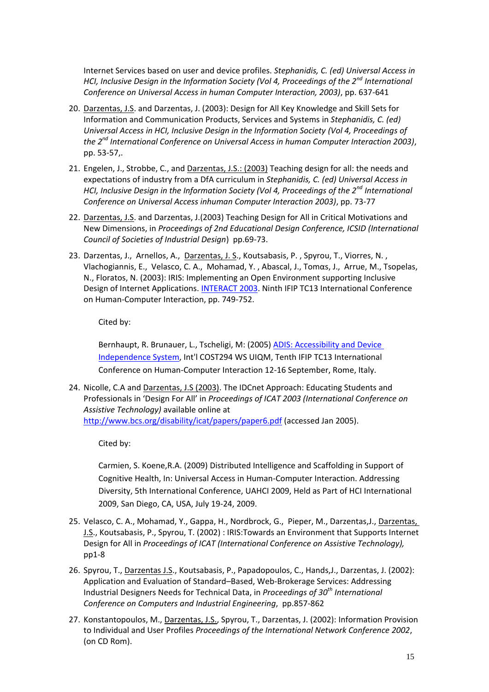Internet Services based on user and device profiles. *Stephanidis, C. (ed) Universal Access in HCI, Inclusive Design in the Information Society (Vol 4, Proceedings of the 2nd International Conference on Universal Access in human Computer Interaction, 2003)*, pp. 637-641

- 20. Darzentas, J.S. and Darzentas, J. (2003): Design for All Key Knowledge and Skill Sets for Information and Communication Products, Services and Systems in *Stephanidis, C. (ed) Universal Access in HCI, Inclusive Design in the Information Society (Vol 4, Proceedings of the 2nd International Conference on Universal Access in human Computer Interaction 2003)*, pp. 53-57,.
- 21. Engelen, J., Strobbe, C., and Darzentas, J.S.: (2003) Teaching design for all: the needs and expectations of industry from a DfA curriculum in *Stephanidis, C. (ed) Universal Access in HCI, Inclusive Design in the Information Society (Vol 4, Proceedings of the 2nd International Conference on Universal Access inhuman Computer Interaction 2003)*, pp. 73-77
- 22. Darzentas, J.S. and Darzentas, J.(2003) Teaching Design for All in Critical Motivations and New Dimensions, in *Proceedings of 2nd Educational Design Conference, ICSID (International Council of Societies of Industrial Design*) pp.69-73.
- 23. Darzentas, J., Arnellos, A., Darzentas, J. S., Koutsabasis, P., Spyrou, T., Viorres, N., Vlachogiannis, E., Velasco, C. A., Mohamad, Y. , Abascal, J., Tomαs, J., Arrue, M., Tsopelas, N., Floratos, N. (2003): IRIS: Implementing an Open Environment supporting Inclusive Design of Internet Applications. [INTERACT 2003.](http://www.interact2003.org/) Ninth IFIP TC13 International Conference on Human-Computer Interaction, pp. 749-752.

Cited by:

Bernhaupt, R. Brunauer, L., Tscheligi, M: (2005) ADIS: Accessibility and Device [Independence System,](http://citeseerx.ist.psu.edu/viewdoc/download?doi=10.1.1.144.9083&rep=rep1&type=pdf) Int'l COST294 WS UIQM, Tenth IFIP TC13 International Conference on Human-Computer Interaction 12-16 September, Rome, Italy.

24. Nicolle, C.A and Darzentas, J.S (2003). The IDCnet Approach: Educating Students and Professionals in 'Design For All' in *Proceedings of ICAT 2003 (International Conference on Assistive Technology)* available online at <http://www.bcs.org/disability/icat/papers/paper6.pdf> (accessed Jan 2005).

Cited by:

Carmien, S. Koene,R.A. (2009) Distributed Intelligence and Scaffolding in Support of Cognitive Health, In: Universal Access in Human-Computer Interaction. Addressing Diversity, 5th International Conference, UAHCI 2009, Held as Part of HCI International 2009, San Diego, CA, USA, July 19-24, 2009.

- 25. Velasco, C. A., Mohamad, Y., Gappa, H., Nordbrock, G., Pieper, M., Darzentas,J., Darzentas, J.S., Koutsabasis, P., Spyrou, T. (2002) : IRIS:Towards an Environment that Supports Internet Design for All in *Proceedings of ICAT (International Conference on Assistive Technology),* pp1-8
- 26. Spyrou, T., Darzentas J.S., Koutsabasis, P., Papadopoulos, C., Hands,J., Darzentas, J. (2002): Application and Evaluation of Standard–Based, Web-Brokerage Services: Addressing Industrial Designers Needs for Technical Data, in *Proceedings of 30th International Conference on Computers and Industrial Engineering*, pp.857-862
- 27. Konstantopoulos, M., Darzentas, J.S., Spyrou, T., Darzentas, J. (2002): Information Provision to Individual and User Profiles *Proceedings of the International Network Conference 2002*, (on CD Rom).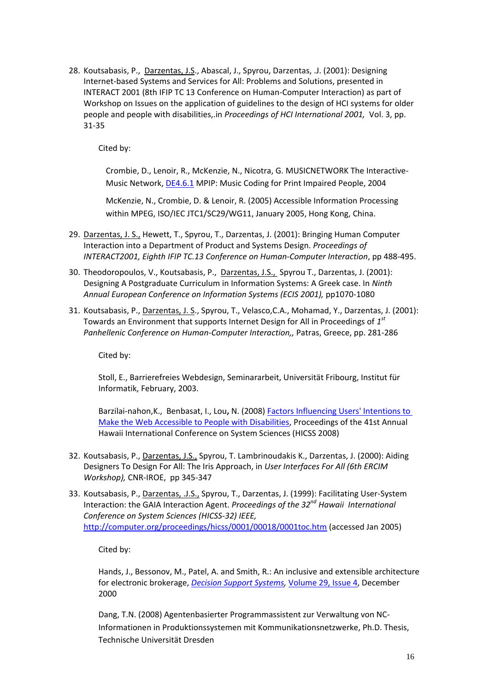28. Koutsabasis, P., Darzentas, J.S., Abascal, J., Spyrou, Darzentas, .J. (2001): Designing Internet-based Systems and Services for All: Problems and Solutions, presented in INTERACT 2001 (8th IFIP TC 13 Conference on Human-Computer Interaction) as part of Workshop on Issues on the application of guidelines to the design of HCI systems for older people and people with disabilities,.in *Proceedings of HCI International 2001,* Vol. 3, pp. 31-35

Cited by:

Crombie, D., Lenoir, R., McKenzie, N., Nicotra, G. MUSICNETWORK The Interactive-Music Network, *DE4.6.1* MPIP: Music Coding for Print Impaired People, 2004

McKenzie, N., Crombie, D. & Lenoir, R. (2005) Accessible Information Processing within MPEG, ISO/IEC JTC1/SC29/WG11, January 2005, Hong Kong, China.

- 29. Darzentas, J. S., Hewett, T., Spyrou, T., Darzentas, J. (2001): Bringing Human Computer Interaction into a Department of Product and Systems Design. *Proceedings of INTERACT2001, Eighth IFIP TC.13 Conference on Human-Computer Interaction*, pp 488-495.
- 30. Theodoropoulos, V., Koutsabasis, P., Darzentas, J.S., Spyrou T., Darzentas, J. (2001): Designing A Postgraduate Curriculum in Information Systems: A Greek case. In *Ninth Annual European Conference on Information Systems (ECIS 2001),* pp1070-1080
- 31. Koutsabasis, P., Darzentas, J. S., Spyrou, T., Velasco,C.A., Mohamad, Y., Darzentas, J. (2001): Towards an Environment that supports Internet Design for All in Proceedings of *1 st Panhellenic Conference on Human-Computer Interaction,,* Patras, Greece, pp. 281-286

Cited by:

Stoll, E., Barrierefreies Webdesign, Seminararbeit, Universität Fribourg, Institut für Informatik, February, 2003.

Barzilai-nahon,K., Benbasat, I., Lou**,** N. (2008) [Factors Influencing Users' Intentions to](http://doi.ieeecomputersociety.org/10.1109/HICSS.2008.168)  [Make the Web Accessible to People with Disabilities,](http://doi.ieeecomputersociety.org/10.1109/HICSS.2008.168) Proceedings of the 41st Annual Hawaii International Conference on System Sciences (HICSS 2008)

- 32. Koutsabasis, P., Darzentas, J.S., Spyrou, T. Lambrinoudakis K., Darzentas, J. (2000): Aiding Designers To Design For All: The Iris Approach, in *User Interfaces For All (6th ERCIM Workshop),* [CNR-IROE,](http://www.iroe.fi.cnr.it/) pp 345-347
- 33. Koutsabasis, P., Darzentas, .J.S., Spyrou, T., Darzentas, J. (1999): Facilitating User-System Interaction: the GAIA Interaction Agent. *Proceedings of the 32nd Hawaii International Conference on System Sciences (HICSS-32) IEEE,* <http://computer.org/proceedings/hicss/0001/00018/0001toc.htm> (accessed Jan 2005)

Cited by:

Hands, J., Bessonov, M., Patel, A. and Smith, R.: An inclusive and extensible architecture for electronic brokerage, *[Decision Support Systems,](http://www.sciencedirect.com/science?_ob=JournalURL&_cdi=5878&_auth=y&_acct=C000006498&_version=1&_urlVersion=0&_userid=853221&md5=9da5346890afa2131a710899cefbecde)* [Volume 29, Issue 4,](http://www.sciencedirect.com/science?_ob=IssueURL&_tockey=%23TOC%235878%232000%23999709995%23209310%23FLA%23display%23Volume_29,_Issue_4,_Pages_301-416_(December_2000)%23tagged%23Volume%23first%3D29%23Issue%23first%3D4%23Pages%23first%3D301%23l%20) December 2000

Dang, T.N. (2008) Agentenbasierter Programmassistent zur Verwaltung von NC‐ Informationen in Produktionssystemen mit Kommunikationsnetzwerke, Ph.D. Thesis, Technische Universität Dresden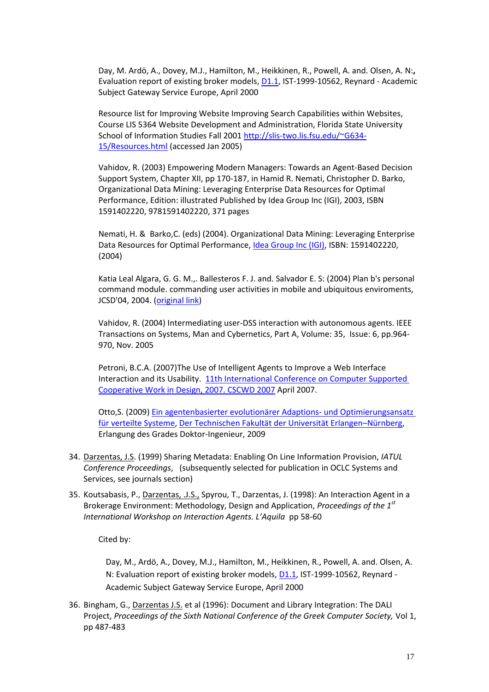Day, M. Ardö, A., Dovey, M.J., Hamilton, M., Heikkinen, R., Powell, A. and. Olsen, A. N:**,** Evaluation report of existing broker models, [D1.1,](http://www.renardus.org/deliverables/d1_1/D1_1_final.pdf) IST-1999-10562, Reynard - Academic Subject Gateway Service Europe, April 2000

Resource list for Improving Website Improving Search Capabilities within Websites, Course LIS 5364 Website Development and Administration, Florida State University School of Information Studies Fall 2001 [http://slis-two.lis.fsu.edu/~G634-](http://slis-two.lis.fsu.edu/~G634-15/Resources.html) [15/Resources.html](http://slis-two.lis.fsu.edu/~G634-15/Resources.html) (accessed Jan 2005)

Vahidov, R. (2003) Empowering Modern Managers: Towards an Agent-Based Decision Support System, Chapter XII, pp 170-187, in Hamid R. Nemati, Christopher D. Barko, Organizational Data Mining: Leveraging Enterprise Data Resources for Optimal Performance, Edition: illustrated Published by Idea Group Inc (IGI), 2003, ISBN 1591402220, 9781591402220, 371 pages

Nemati, H. & Barko,C. (eds) (2004). Organizational Data Mining: Leveraging Enterprise Data Resources for Optimal Performance, [Idea Group Inc \(IGI\),](http://www.google.com/url?q=http://www.idea-group.com) ISBN: 1591402220, (2004)

Katia Leal Algara, G. G. M.,. Ballesteros F. J. and. Salvador E. S: (2004) Plan b's personal command module. commanding user activities in mobile and ubiquitous enviroments, JCSD'04, 2004. [\(original link\)](http://plan9.escet.urjc.es/ls/export/pcm.ps)

Vahidov, R. (2004) Intermediating user-DSS interaction with autonomous agents. IEEE Transactions on Systems, Man and Cybernetics, Part A, Volume: 35, Issue: 6, pp.964- 970, Nov. 2005

Petroni, B.C.A. (2007)The Use of Intelligent Agents to Improve a Web Interface Interaction and its Usability. [11th International Conference on Computer Supported](http://ieeexplore.ieee.org/xpl/RecentCon.jsp?punumber=4281389)  [Cooperative Work in Design, 2007. CSCWD 2007](http://ieeexplore.ieee.org/xpl/RecentCon.jsp?punumber=4281389) April 2007.

Otto,S. (2009) [Ein agentenbasierter evolutionärer Adaptions-](http://deposit.ddb.de/cgi-bin/dokserv?idn=999032623&dok_var=d1&dok_ext=pdf&filename=999032623.pdf) und Optimierungsansatz [für verteilte Systeme,](http://deposit.ddb.de/cgi-bin/dokserv?idn=999032623&dok_var=d1&dok_ext=pdf&filename=999032623.pdf) [Der Technischen Fakultät der Universität Erlangen](http://www.techfak.uni-erlangen.de/)–Nürnberg, Erlangung des Grades Doktor-Ingenieur, 2009

- 34. Darzentas, J.S. (1999) Sharing Metadata: Enabling On Line Information Provision, *IATUL Conference Proceedings*, (subsequently selected for publication in OCLC Systems and Services, see journals section)
- 35. Koutsabasis, P., Darzentas, J.S., Spyrou, T., Darzentas, J. (1998): An Interaction Agent in a Brokerage Environment: Methodology, Design and Application, *Proceedings of the 1st International Workshop on Interaction Agents. L'Aquila* pp 58-60

Cited by:

Day, M., Ardö, A., Dovey, M.J., Hamilton, M., Heikkinen, R., Powell, A. and. Olsen, A. N: Evaluation report of existing broker models, **D1.1**, IST-1999-10562, Reynard -Academic Subject Gateway Service Europe, April 2000

36. Bingham, G., Darzentas J.S. et al (1996): Document and Library Integration: The DALI Project, *Proceedings of the Sixth National Conference of the Greek Computer Society,* Vol 1, pp 487-483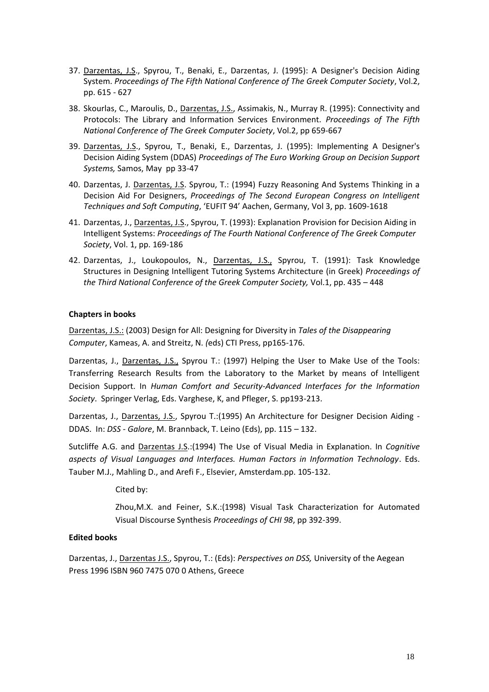- 37. Darzentas, J.S., Spyrou, T., Benaki, E., Darzentas, J. (1995): A Designer's Decision Aiding System. *Proceedings of The Fifth National Conference of The Greek Computer Society*, Vol.2, pp. 615 - 627
- 38. Skourlas, C., Maroulis, D., Darzentas, J.S., Assimakis, N., Murray R. (1995): Connectivity and Protocols: The Library and Information Services Environment. *Proceedings of The Fifth National Conference of The Greek Computer Society*, Vol.2, pp 659-667
- 39. Darzentas, J.S., Spyrou, T., Benaki, E., Darzentas, J. (1995): Implementing A Designer's Decision Aiding System (DDAS) *Proceedings of The Euro Working Group on Decision Support Systems,* Samos, May pp 33-47
- 40. Darzentas, J. Darzentas, J.S. Spyrou, T.: (1994) Fuzzy Reasoning And Systems Thinking in a Decision Aid For Designers, *Proceedings of The Second European Congress on Intelligent Techniques and Soft Computing*, 'EUFIT 94' Aachen, Germany, Vol 3, pp. 1609-1618
- 41. Darzentas, J., Darzentas, J.S., Spyrou, T. (1993): Explanation Provision for Decision Aiding in Intelligent Systems: *Proceedings of The Fourth National Conference of The Greek Computer Society*, Vol. 1, pp. 169-186
- 42. Darzentas, J., Loukopoulos, N., Darzentas, J.S., Spyrou, T. (1991): Task Knowledge Structures in Designing Intelligent Tutoring Systems Architecture (in Greek) *Proceedings of the Third National Conference of the Greek Computer Society,* Vol.1, pp. 435 – 448

# **Chapters in books**

Darzentas, J.S.: (2003) Design for All: Designing for Diversity in *Tales of the Disappearing Computer*, Kameas, A. and Streitz, N. *(*eds) CTI Press, pp165-176.

Darzentas, J., Darzentas, J.S., Spyrou T.: (1997) Helping the User to Make Use of the Tools: Transferring Research Results from the Laboratory to the Market by means of Intelligent Decision Support. In *Human Comfort and Security-Advanced Interfaces for the Information Society*. Springer Verlag, Eds. Varghese, K, and Pfleger, S. pp193-213.

Darzentas, J., Darzentas, J.S., Spyrou T.: (1995) An Architecture for Designer Decision Aiding -DDAS. In: *DSS - Galore*, M. Brannback, T. Leino (Eds), pp. 115 – 132.

Sutcliffe A.G. and Darzentas J.S.:(1994) The Use of Visual Media in Explanation. In *Cognitive aspects of Visual Languages and Interfaces. Human Factors in Information Technology*. Eds. Tauber M.J., Mahling D., and Arefi F., Elsevier, Amsterdam.pp. 105-132.

Cited by:

Zhou,M.X. and Feiner, S.K.:(1998) Visual Task Characterization for Automated Visual Discourse Synthesis *Proceedings of CHI 98*, pp 392-399.

# **Edited books**

Darzentas, J., Darzentas J.S., Spyrou, T.: (Eds): *Perspectives on DSS,* University of the Aegean Press 1996 ISBN 960 7475 070 0 Athens, Greece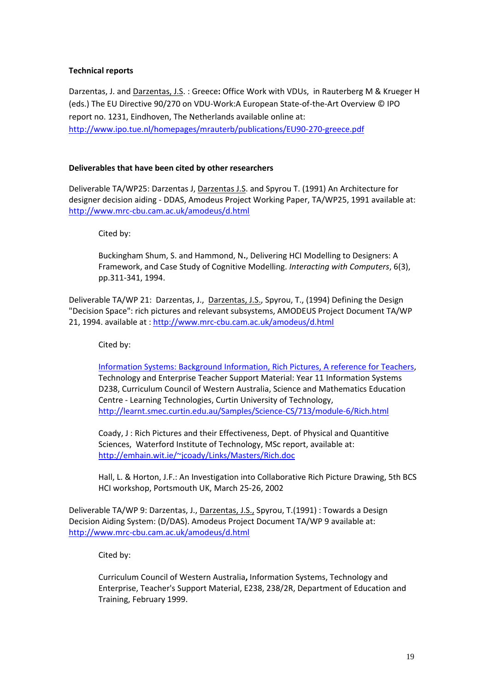# **Technical reports**

Darzentas, J. and Darzentas, J.S. : Greece**:** Office Work with VDUs, in Rauterberg M & Krueger H (eds.) The EU Directive 90/270 on VDU-Work:A European State-of-the-Art Overview © IPO report no. 1231, Eindhoven, The Netherlands available online at: <http://www.ipo.tue.nl/homepages/mrauterb/publications/EU90-270-greece.pdf>

# **Deliverables that have been cited by other researchers**

Deliverable TA/WP25: Darzentas J, Darzentas J.S. and Spyrou T. (1991) An Architecture for designer decision aiding - DDAS, Amodeus Project Working Paper, TA/WP25, 1991 available at: <http://www.mrc-cbu.cam.ac.uk/amodeus/d.html>

Cited by:

Buckingham Shum, S. and Hammond, N**.**, Delivering HCI Modelling to Designers: A Framework, and Case Study of Cognitive Modelling. *Interacting with Computers*, 6(3), pp.311-341, 1994.

Deliverable TA/WP 21: Darzentas, J., Darzentas, J.S., Spyrou, T., (1994) Defining the Design "Decision Space": rich pictures and relevant subsystems, AMODEUS Project Document TA/WP 21, 1994. available at :<http://www.mrc-cbu.cam.ac.uk/amodeus/d.html>

Cited by:

[Information Systems: Background Information, Rich Pictures, A reference for Teachers,](http://learnt.smec.curtin.edu.au/Samples/Science-CS/713/module-6/Rich.html) Technology and Enterprise Teacher Support Material: Year 11 Information Systems D238, Curriculum Council of Western Australia, Science and Mathematics Education Centre - Learning Technologies, Curtin University of Technology, <http://learnt.smec.curtin.edu.au/Samples/Science-CS/713/module-6/Rich.html>

Coady, J : Rich Pictures and their Effectiveness, Dept. of Physical and Quantitive Sciences, Waterford Institute of Technology, MSc report, available at: <http://emhain.wit.ie/~jcoady/Links/Masters/Rich.doc>

Hall, L. & Horton, J.F.: An Investigation into Collaborative Rich Picture Drawing, 5th BCS HCI workshop, Portsmouth UK, March 25-26, 2002

Deliverable TA/WP 9: Darzentas, J., Darzentas, J.S., Spyrou, T.(1991) : Towards a Design Decision Aiding System: (D/DAS). Amodeus Project Document TA/WP 9 available at: <http://www.mrc-cbu.cam.ac.uk/amodeus/d.html>

Cited by:

Curriculum Council of Western Australia**,** Information Systems, Technology and Enterprise, Teacher's Support Material, E238, 238/2R, Department of Education and Training, February 1999.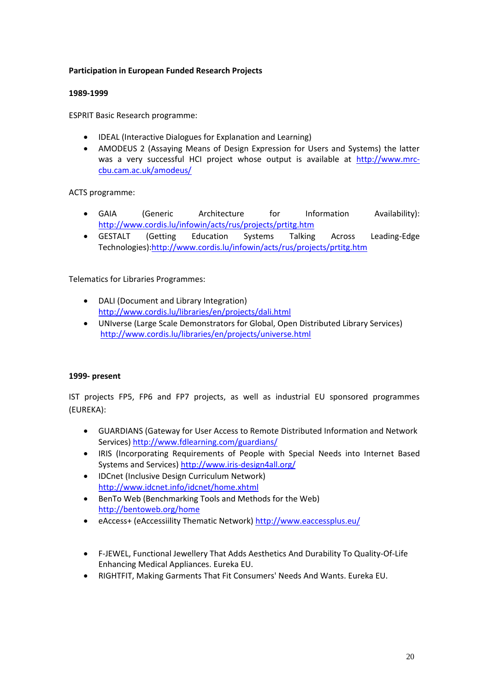# **Participation in European Funded Research Projects**

# **1989-1999**

ESPRIT Basic Research programme:

- IDEAL (Interactive Dialogues for Explanation and Learning)
- AMODEUS 2 (Assaying Means of Design Expression for Users and Systems) the latter was a very successful HCI project whose output is available at [http://www.mrc](http://www.mrc-cbu.cam.ac.uk/amodeus/)[cbu.cam.ac.uk/amodeus/](http://www.mrc-cbu.cam.ac.uk/amodeus/)

ACTS programme:

- GAIA (Generic Architecture for Information Availability): <http://www.cordis.lu/infowin/acts/rus/projects/prtitg.htm>
- GESTALT (Getting Education Systems Talking Across Leading-Edge Technologies)[:http://www.cordis.lu/infowin/acts/rus/projects/prtitg.htm](http://www.cordis.lu/infowin/acts/rus/projects/prtitg.htm)

# Telematics for Libraries Programmes:

- DALI (Document and Library Integration) <http://www.cordis.lu/libraries/en/projects/dali.html>
- UNIverse (Large Scale Demonstrators for Global, Open Distributed Library Services) <http://www.cordis.lu/libraries/en/projects/universe.html>

# **1999- present**

IST projects FP5, FP6 and FP7 projects, as well as industrial EU sponsored programmes (EUREKA):

- GUARDIANS (Gateway for User Access to Remote Distributed Information and Network Services)<http://www.fdlearning.com/guardians/>
- IRIS (Incorporating Requirements of People with Special Needs into Internet Based Systems and Services)<http://www.iris-design4all.org/>
- IDCnet (Inclusive Design Curriculum Network) <http://www.idcnet.info/idcnet/home.xhtml>
- BenTo Web (Benchmarking Tools and Methods for the Web) <http://bentoweb.org/home>
- eAccess+ (eAccessiility Thematic Network[\) http://www.eaccessplus.eu/](http://www.eaccessplus.eu/)
- F-JEWEL, Functional Jewellery That Adds Aesthetics And Durability To Quality-Of-Life Enhancing Medical Appliances. Eureka EU.
- RIGHTFIT, Making Garments That Fit Consumers' Needs And Wants. Eureka EU.